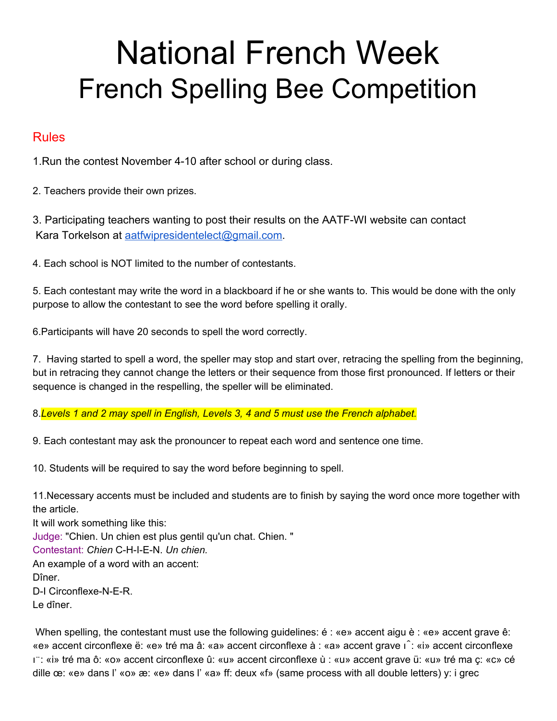## National French Week French Spelling Bee Competition

## Rules

1.Run the contest November 4-10 after school or during class.

2. Teachers provide their own prizes.

3. Participating teachers wanting to post their results on the AATF-WI website can contact Kara Torkelson at [aatfwipresidentelect@gmail.com](mailto:aatfwipresidentelect@gmail.com).

4. Each school is NOT limited to the number of contestants.

5. Each contestant may write the word in a blackboard if he or she wants to. This would be done with the only purpose to allow the contestant to see the word before spelling it orally.

6.Participants will have 20 seconds to spell the word correctly.

7. Having started to spell a word, the speller may stop and start over, retracing the spelling from the beginning, but in retracing they cannot change the letters or their sequence from those first pronounced. If letters or their sequence is changed in the respelling, the speller will be eliminated.

8.*Levels 1 and 2 may spell in English, Levels 3, 4 and 5 must use the French alphabet.*

9. Each contestant may ask the pronouncer to repeat each word and sentence one time.

10. Students will be required to say the word before beginning to spell.

11.Necessary accents must be included and students are to finish by saying the word once more together with the article.

It will work something like this: Judge: "Chien. Un chien est plus gentil qu'un chat. Chien. " Contestant: *Chien* C-H-I-E-N. *Un chien.* An example of a word with an accent: Dîner. D-I Circonflexe-N-E-R. Le dîner.

When spelling, the contestant must use the following guidelines: é : «e» accent aigu è : «e» accent grave ê: «e» accent circonflexe ë: «e» tré ma â: «a» accent circonflexe à : «a» accent grave ı̂: «i» accent circonflexe ı̈: «i» tré ma ô: «o» accent circonflexe û: «u» accent circonflexe ù : «u» accent grave ü: «u» tré ma ç: «c» cé dille œ: «e» dans l' «o» æ: «e» dans l' «a» ff: deux «f» (same process with all double letters) y: i grec